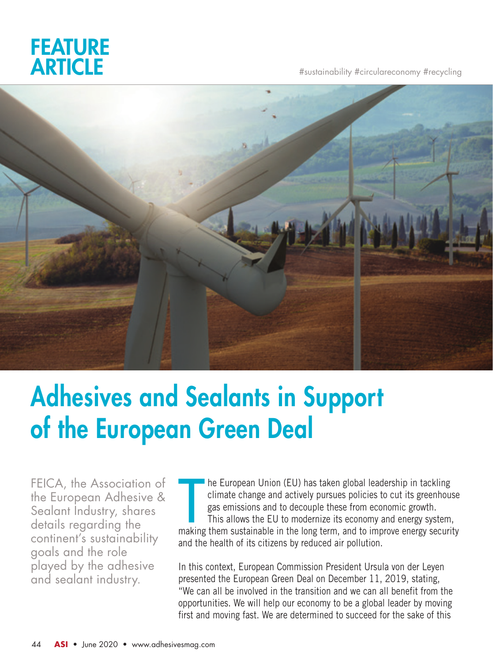

#sustainability #circulareconomy #recycling



# Adhesives and Sealants in Support of the European Green Deal

FEICA, the Association of the European Adhesive & Sealant Industry, shares details regarding the continent's sustainability goals and the role played by the adhesive and sealant industry.

The European Union (EU) has taken global leadership in tackling<br>climate change and actively pursues policies to cut its greenhouse<br>gas emissions and to decouple these from economic growth.<br>This allows the EU to modernize i he European Union (EU) has taken global leadership in tackling climate change and actively pursues policies to cut its greenhouse gas emissions and to decouple these from economic growth. This allows the EU to modernize its economy and energy system, and the health of its citizens by reduced air pollution.

In this context, European Commission President Ursula von der Leyen presented the European Green Deal on December 11, 2019, stating, "We can all be involved in the transition and we can all benefit from the opportunities. We will help our economy to be a global leader by moving first and moving fast. We are determined to succeed for the sake of this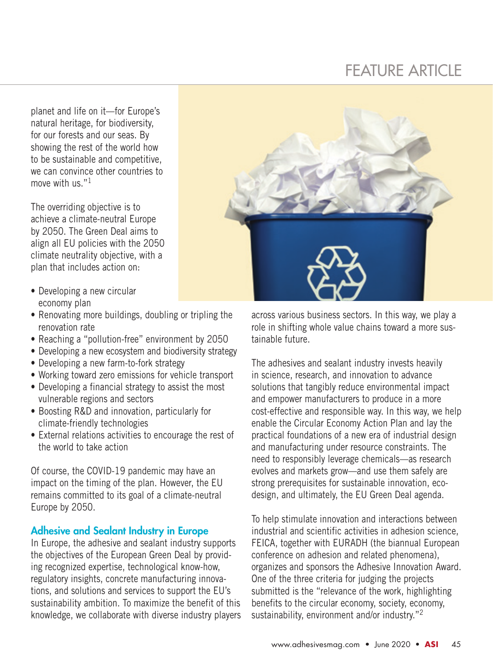### FEATURE ARTICLE

planet and life on it—for Europe's natural heritage, for biodiversity, for our forests and our seas. By showing the rest of the world how to be sustainable and competitive, we can convince other countries to move with us."<sup>1</sup>

The overriding objective is to achieve a climate-neutral Europe by 2050. The Green Deal aims to align all EU policies with the 2050 climate neutrality objective, with a plan that includes action on:

- Developing a new circular economy plan
- Renovating more buildings, doubling or tripling the renovation rate
- Reaching a "pollution-free" environment by 2050
- Developing a new ecosystem and biodiversity strategy
- Developing a new farm-to-fork strategy
- Working toward zero emissions for vehicle transport
- Developing a financial strategy to assist the most vulnerable regions and sectors
- Boosting R&D and innovation, particularly for climate-friendly technologies
- External relations activities to encourage the rest of the world to take action

Of course, the COVID-19 pandemic may have an impact on the timing of the plan. However, the EU remains committed to its goal of a climate-neutral Europe by 2050.

#### Adhesive and Sealant Industry in Europe

In Europe, the adhesive and sealant industry supports the objectives of the European Green Deal by providing recognized expertise, technological know-how, regulatory insights, concrete manufacturing innovations, and solutions and services to support the EU's sustainability ambition. To maximize the benefit of this knowledge, we collaborate with diverse industry players



across various business sectors. In this way, we play a role in shifting whole value chains toward a more sustainable future.

The adhesives and sealant industry invests heavily in science, research, and innovation to advance solutions that tangibly reduce environmental impact and empower manufacturers to produce in a more cost-effective and responsible way. In this way, we help enable the Circular Economy Action Plan and lay the practical foundations of a new era of industrial design and manufacturing under resource constraints. The need to responsibly leverage chemicals—as research evolves and markets grow—and use them safely are strong prerequisites for sustainable innovation, ecodesign, and ultimately, the EU Green Deal agenda.

To help stimulate innovation and interactions between industrial and scientific activities in adhesion science, FEICA, together with EURADH (the biannual European conference on adhesion and related phenomena), organizes and sponsors the Adhesive Innovation Award. One of the three criteria for judging the projects submitted is the "relevance of the work, highlighting benefits to the circular economy, society, economy, sustainability, environment and/or industry."<sup>2</sup>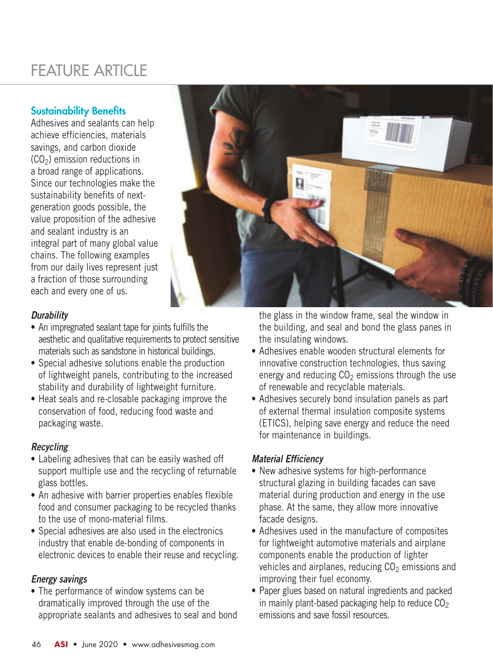## FEATURE ARTICLE

#### Sustainability Benefits

Adhesives and sealants can help achieve efficiencies, materials savings, and carbon dioxide  $(CO<sub>2</sub>)$  emission reductions in a broad range of applications. Since our technologies make the sustainability benefits of nextgeneration goods possible, the value proposition of the adhesive and sealant industry is an integral part of many global value chains. The following examples from our daily lives represent just a fraction of those surrounding each and every one of us.



#### *Durability*

- An impregnated sealant tape for joints fulfills the aesthetic and qualitative requirements to protect sensitive materials such as sandstone in historical buildings.
- Special adhesive solutions enable the production of lightweight panels, contributing to the increased stability and durability of lightweight furniture.
- Heat seals and re-closable packaging improve the conservation of food, reducing food waste and packaging waste.

#### *Recycling*

- Labeling adhesives that can be easily washed off support multiple use and the recycling of returnable glass bottles.
- An adhesive with barrier properties enables flexible food and consumer packaging to be recycled thanks to the use of mono-material films.
- Special adhesives are also used in the electronics industry that enable de-bonding of components in electronic devices to enable their reuse and recycling.

#### *Energy savings*

• The performance of window systems can be dramatically improved through the use of the appropriate sealants and adhesives to seal and bond the glass in the window frame, seal the window in the building, and seal and bond the glass panes in the insulating windows.

- Adhesives enable wooden structural elements for innovative construction technologies, thus saving energy and reducing  $CO<sub>2</sub>$  emissions through the use of renewable and recyclable materials.
- Adhesives securely bond insulation panels as part of external thermal insulation composite systems (ETICS), helping save energy and reduce the need for maintenance in buildings.

#### *Material Efficiency*

- New adhesive systems for high-performance structural glazing in building facades can save material during production and energy in the use phase. At the same, they allow more innovative facade designs.
- Adhesives used in the manufacture of composites for lightweight automotive materials and airplane components enable the production of lighter vehicles and airplanes, reducing  $CO<sub>2</sub>$  emissions and improving their fuel economy.
- Paper glues based on natural ingredients and packed in mainly plant-based packaging help to reduce  $CO<sub>2</sub>$ emissions and save fossil resources.